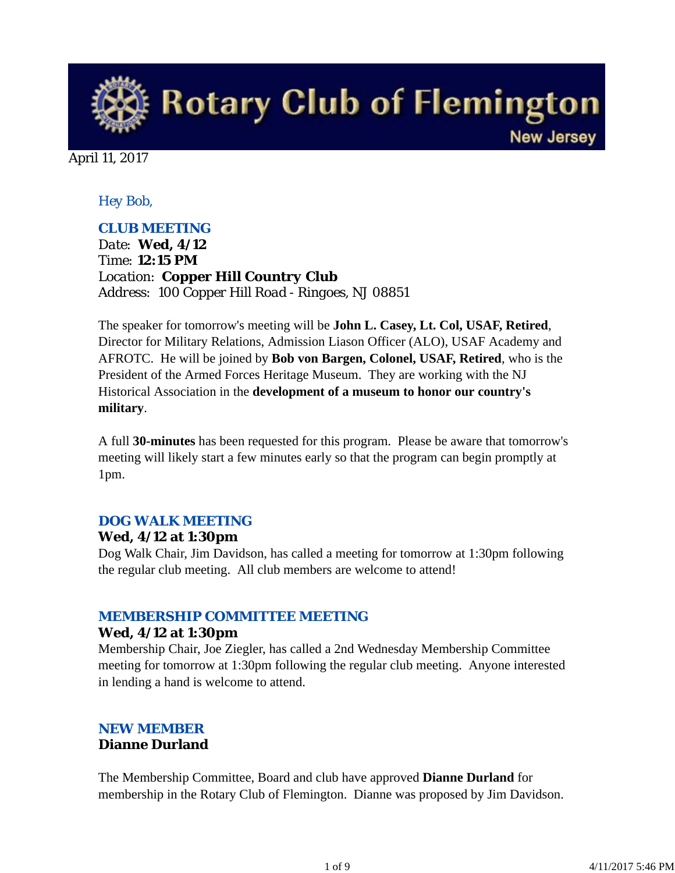**Rotary Club of Flemington New Jersey** 

April 11, 2017

## *Hey Bob,*

## *CLUB MEETING*

*Date: Wed, 4/12 Time: 12:15 PM Location: Copper Hill Country Club Address: 100 Copper Hill Road - Ringoes, NJ 08851*

The speaker for tomorrow's meeting will be **John L. Casey, Lt. Col, USAF, Retired**, Director for Military Relations, Admission Liason Officer (ALO), USAF Academy and AFROTC. He will be joined by **Bob von Bargen, Colonel, USAF, Retired**, who is the President of the Armed Forces Heritage Museum. They are working with the NJ Historical Association in the **development of a museum to honor our country's military**.

A full **30-minutes** has been requested for this program. Please be aware that tomorrow's meeting will likely start a few minutes early so that the program can begin promptly at 1pm.

### *DOG WALK MEETING*

### **Wed, 4/12 at 1:30pm**

Dog Walk Chair, Jim Davidson, has called a meeting for tomorrow at 1:30pm following the regular club meeting. All club members are welcome to attend!

### *MEMBERSHIP COMMITTEE MEETING*

#### **Wed, 4/12 at 1:30pm**

Membership Chair, Joe Ziegler, has called a 2nd Wednesday Membership Committee meeting for tomorrow at 1:30pm following the regular club meeting. Anyone interested in lending a hand is welcome to attend.

## *NEW MEMBER*

### **Dianne Durland**

The Membership Committee, Board and club have approved **Dianne Durland** for membership in the Rotary Club of Flemington. Dianne was proposed by Jim Davidson.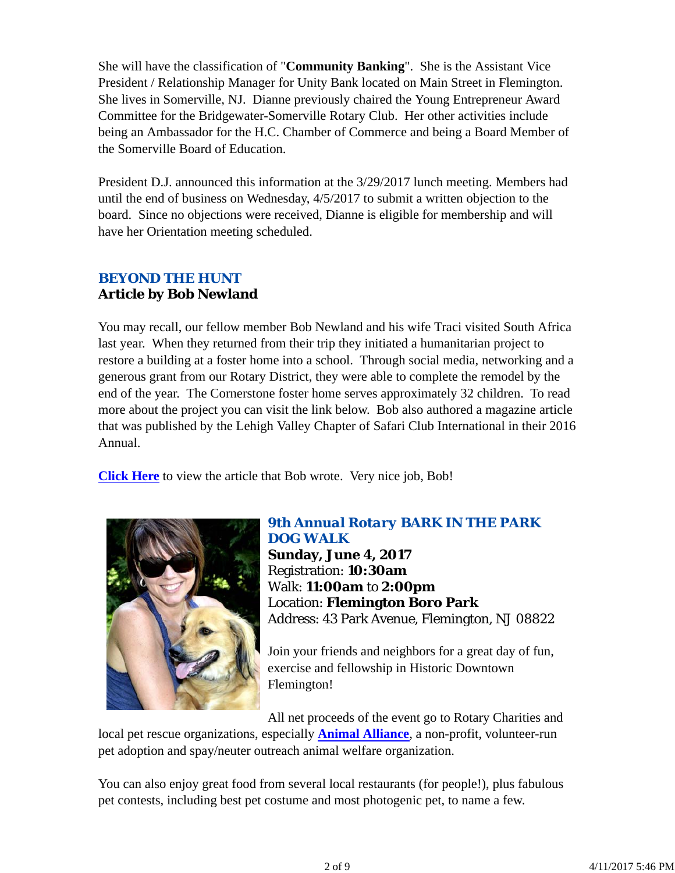She will have the classification of "**Community Banking**". She is the Assistant Vice President / Relationship Manager for Unity Bank located on Main Street in Flemington. She lives in Somerville, NJ. Dianne previously chaired the Young Entrepreneur Award Committee for the Bridgewater-Somerville Rotary Club. Her other activities include being an Ambassador for the H.C. Chamber of Commerce and being a Board Member of the Somerville Board of Education.

President D.J. announced this information at the 3/29/2017 lunch meeting. Members had until the end of business on Wednesday, 4/5/2017 to submit a written objection to the board. Since no objections were received, Dianne is eligible for membership and will have her Orientation meeting scheduled.

# *BEYOND THE HUNT* **Article by Bob Newland**

You may recall, our fellow member Bob Newland and his wife Traci visited South Africa last year. When they returned from their trip they initiated a humanitarian project to restore a building at a foster home into a school. Through social media, networking and a generous grant from our Rotary District, they were able to complete the remodel by the end of the year. The Cornerstone foster home serves approximately 32 children. To read more about the project you can visit the link below. Bob also authored a magazine article that was published by the Lehigh Valley Chapter of Safari Club International in their 2016 Annual.

**Click Here** to view the article that Bob wrote. Very nice job, Bob!



## *9th Annual Rotary BARK IN THE PARK DOG WALK*

**Sunday, June 4, 2017** Registration: **10:30am** Walk: **11:00am** to **2:00pm** Location: **Flemington Boro Park** Address: 43 Park Avenue, Flemington, NJ 08822

Join your friends and neighbors for a great day of fun, exercise and fellowship in Historic Downtown Flemington!

All net proceeds of the event go to Rotary Charities and local pet rescue organizations, especially **Animal Alliance**, a non-profit, volunteer-run pet adoption and spay/neuter outreach animal welfare organization.

You can also enjoy great food from several local restaurants (for people!), plus fabulous pet contests, including best pet costume and most photogenic pet, to name a few.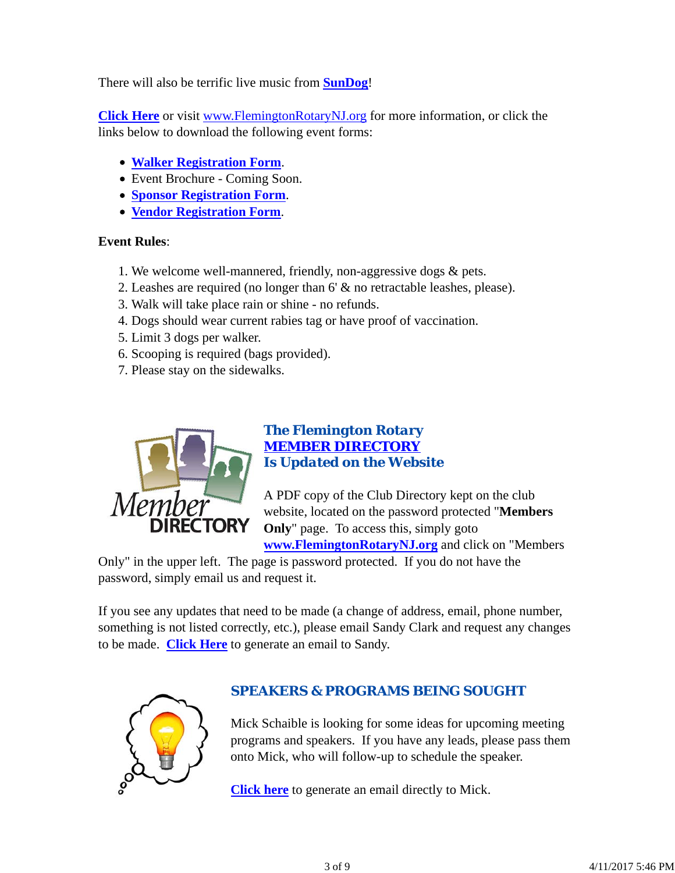There will also be terrific live music from **SunDog**!

**Click Here** or visit www.FlemingtonRotaryNJ.org for more information, or click the links below to download the following event forms:

- **Walker Registration Form**.
- Event Brochure Coming Soon.
- **Sponsor Registration Form**.
- **Vendor Registration Form**.

#### **Event Rules**:

- 1. We welcome well-mannered, friendly, non-aggressive dogs & pets.
- 2. Leashes are required (no longer than 6' & no retractable leashes, please).
- 3. Walk will take place rain or shine no refunds.
- 4. Dogs should wear current rabies tag or have proof of vaccination.
- 5. Limit 3 dogs per walker.
- 6. Scooping is required (bags provided).
- 7. Please stay on the sidewalks.



## *The Flemington Rotary MEMBER DIRECTORY Is Updated on the Website*

A PDF copy of the Club Directory kept on the club website, located on the password protected "**Members Only**" page. To access this, simply goto

**www.FlemingtonRotaryNJ.org** and click on "Members

Only" in the upper left. The page is password protected. If you do not have the password, simply email us and request it.

If you see any updates that need to be made (a change of address, email, phone number, something is not listed correctly, etc.), please email Sandy Clark and request any changes to be made. **Click Here** to generate an email to Sandy.



## *SPEAKERS & PROGRAMS BEING SOUGHT*

Mick Schaible is looking for some ideas for upcoming meeting programs and speakers. If you have any leads, please pass them onto Mick, who will follow-up to schedule the speaker.

**Click here** to generate an email directly to Mick.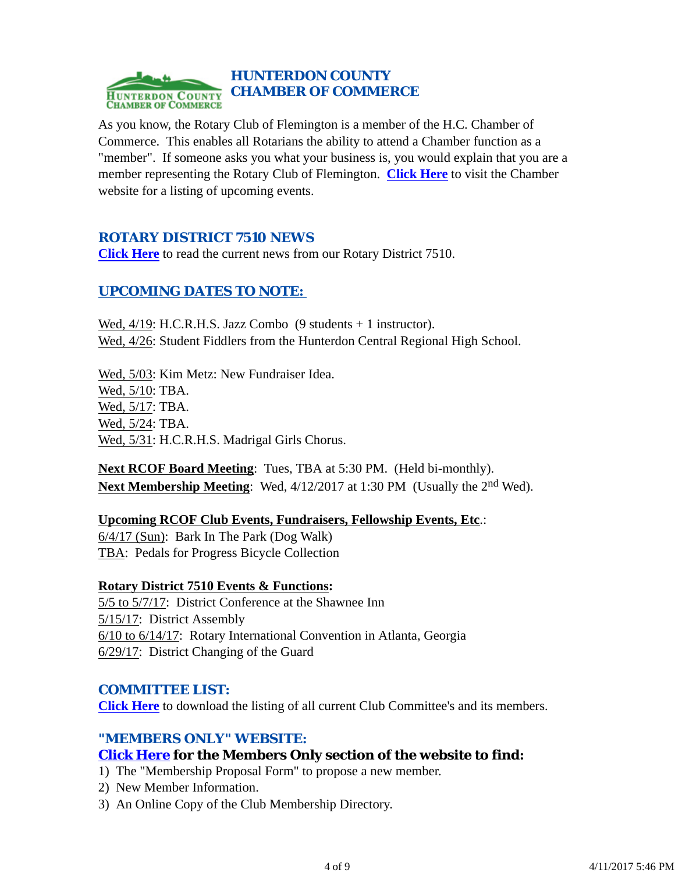

As you know, the Rotary Club of Flemington is a member of the H.C. Chamber of Commerce. This enables all Rotarians the ability to attend a Chamber function as a "member". If someone asks you what your business is, you would explain that you are a member representing the Rotary Club of Flemington. **Click Here** to visit the Chamber website for a listing of upcoming events.

## *ROTARY DISTRICT 7510 NEWS*

**Click Here** to read the current news from our Rotary District 7510.

## *UPCOMING DATES TO NOTE:*

Wed, 4/19: H.C.R.H.S. Jazz Combo (9 students + 1 instructor). Wed, 4/26: Student Fiddlers from the Hunterdon Central Regional High School.

Wed, 5/03: Kim Metz: New Fundraiser Idea. Wed, 5/10: TBA. Wed, 5/17: TBA. Wed, 5/24: TBA. Wed, 5/31: H.C.R.H.S. Madrigal Girls Chorus.

**Next RCOF Board Meeting**: Tues, TBA at 5:30 PM. (Held bi-monthly). **Next Membership Meeting**: Wed, 4/12/2017 at 1:30 PM (Usually the 2<sup>nd</sup> Wed).

### **Upcoming RCOF Club Events, Fundraisers, Fellowship Events, Etc**.:

6/4/17 (Sun): Bark In The Park (Dog Walk) TBA: Pedals for Progress Bicycle Collection

### **Rotary District 7510 Events & Functions:**

5/5 to 5/7/17: District Conference at the Shawnee Inn 5/15/17: District Assembly 6/10 to 6/14/17: Rotary International Convention in Atlanta, Georgia 6/29/17: District Changing of the Guard

### *COMMITTEE LIST:*

**Click Here** to download the listing of all current Club Committee's and its members.

### *"MEMBERS ONLY" WEBSITE:*

## **Click Here for the Members Only section of the website to find:**

- 1) The "Membership Proposal Form" to propose a new member.
- 2) New Member Information.
- 3) An Online Copy of the Club Membership Directory.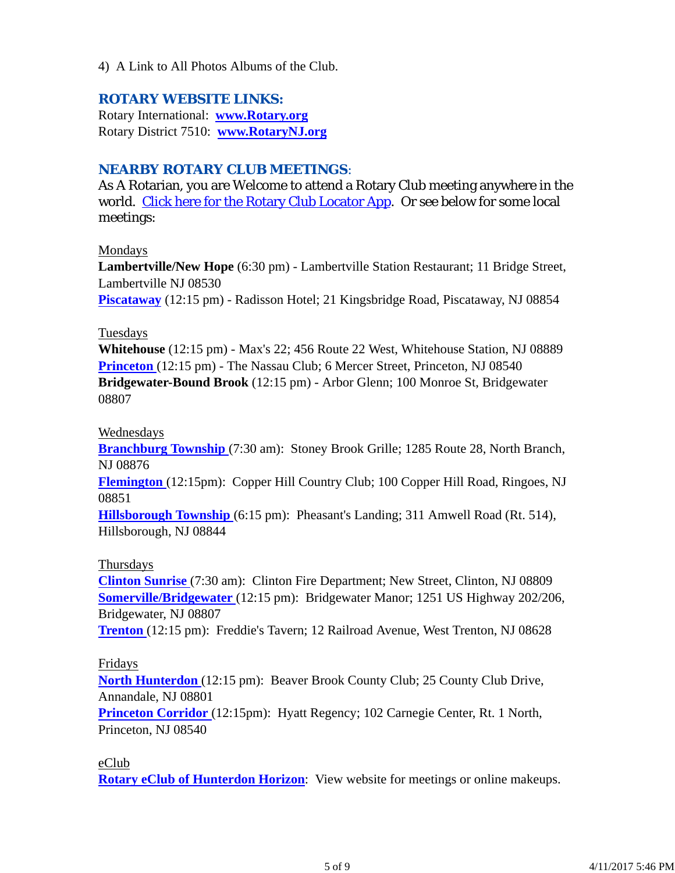4) A Link to All Photos Albums of the Club.

## *ROTARY WEBSITE LINKS:*

Rotary International: **www.Rotary.org** Rotary District 7510: **www.RotaryNJ.org**

## *NEARBY ROTARY CLUB MEETINGS:*

As A Rotarian, you are Welcome to attend a Rotary Club meeting anywhere in the world. Click here for the Rotary Club Locator App. Or see below for some local meetings:

#### Mondays

**Lambertville/New Hope** (6:30 pm) - Lambertville Station Restaurant; 11 Bridge Street, Lambertville NJ 08530

**Piscataway** (12:15 pm) - Radisson Hotel; 21 Kingsbridge Road, Piscataway, NJ 08854

#### Tuesdays

**Whitehouse** (12:15 pm) - Max's 22; 456 Route 22 West, Whitehouse Station, NJ 08889 **Princeton** (12:15 pm) - The Nassau Club; 6 Mercer Street, Princeton, NJ 08540 **Bridgewater-Bound Brook** (12:15 pm) - Arbor Glenn; 100 Monroe St, Bridgewater 08807

### Wednesdays

**Branchburg Township** (7:30 am): Stoney Brook Grille; 1285 Route 28, North Branch, NJ 08876

**Flemington** (12:15pm): Copper Hill Country Club; 100 Copper Hill Road, Ringoes, NJ 08851

**Hillsborough Township** (6:15 pm): Pheasant's Landing; 311 Amwell Road (Rt. 514), Hillsborough, NJ 08844

### Thursdays

**Clinton Sunrise** (7:30 am): Clinton Fire Department; New Street, Clinton, NJ 08809 **Somerville/Bridgewater** (12:15 pm): Bridgewater Manor; 1251 US Highway 202/206, Bridgewater, NJ 08807

**Trenton** (12:15 pm): Freddie's Tavern; 12 Railroad Avenue, West Trenton, NJ 08628

### Fridays

**North Hunterdon** (12:15 pm): Beaver Brook County Club; 25 County Club Drive, Annandale, NJ 08801

**Princeton Corridor** (12:15pm): Hyatt Regency; 102 Carnegie Center, Rt. 1 North, Princeton, NJ 08540

### eClub

**Rotary eClub of Hunterdon Horizon**: View website for meetings or online makeups.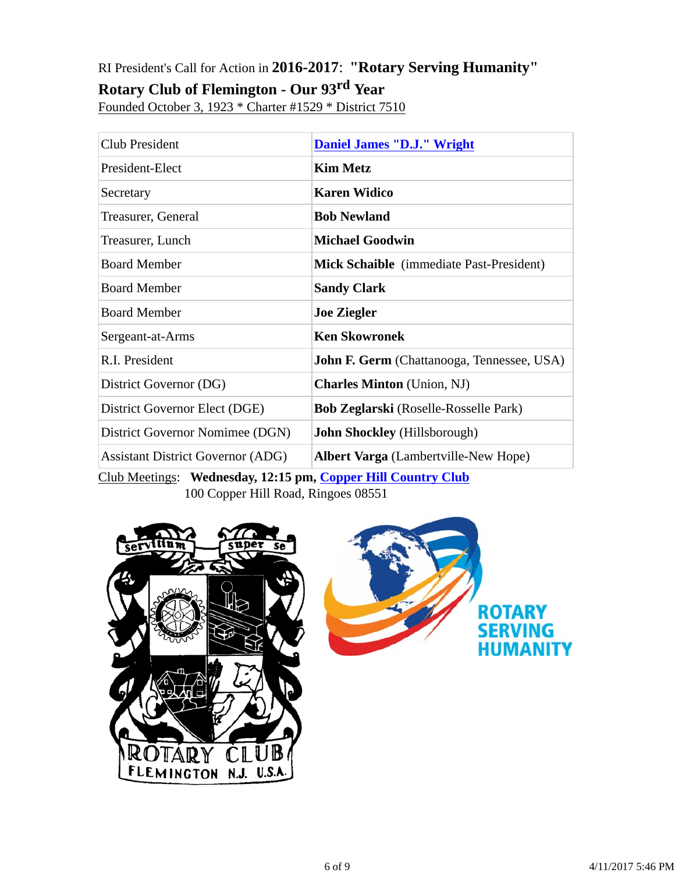# RI President's Call for Action in **2016-2017**: **"Rotary Serving Humanity"**

# **Rotary Club of Flemington - Our 93rd Year**

Founded October 3, 1923 \* Charter #1529 \* District 7510

| <b>Club President</b>                    | <b>Daniel James "D.J." Wright</b>                 |
|------------------------------------------|---------------------------------------------------|
| President-Elect                          | <b>Kim Metz</b>                                   |
| Secretary                                | <b>Karen Widico</b>                               |
| Treasurer, General                       | <b>Bob Newland</b>                                |
| Treasurer, Lunch                         | <b>Michael Goodwin</b>                            |
| <b>Board Member</b>                      | <b>Mick Schaible</b> (immediate Past-President)   |
| <b>Board Member</b>                      | <b>Sandy Clark</b>                                |
| <b>Board Member</b>                      | <b>Joe Ziegler</b>                                |
| Sergeant-at-Arms                         | <b>Ken Skowronek</b>                              |
| R.I. President                           | <b>John F. Germ</b> (Chattanooga, Tennessee, USA) |
| District Governor (DG)                   | <b>Charles Minton</b> (Union, NJ)                 |
| District Governor Elect (DGE)            | <b>Bob Zeglarski</b> (Roselle-Rosselle Park)      |
| District Governor Nomimee (DGN)          | <b>John Shockley</b> (Hillsborough)               |
| <b>Assistant District Governor (ADG)</b> | <b>Albert Varga</b> (Lambertville-New Hope)       |

Club Meetings: **Wednesday, 12:15 pm, Copper Hill Country Club** 100 Copper Hill Road, Ringoes 08551



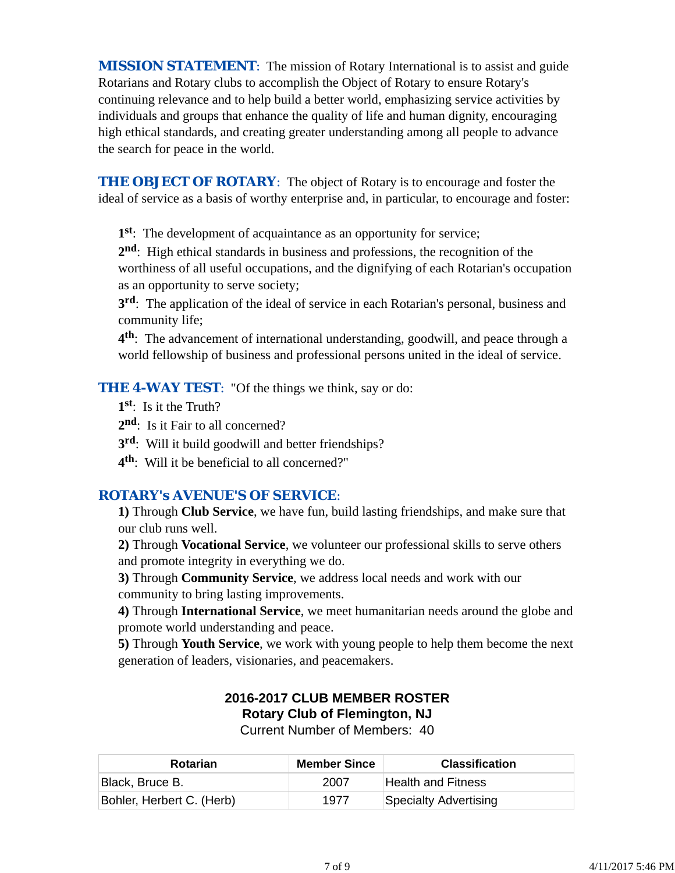*MISSION STATEMENT*: The mission of Rotary International is to assist and guide Rotarians and Rotary clubs to accomplish the Object of Rotary to ensure Rotary's continuing relevance and to help build a better world, emphasizing service activities by individuals and groups that enhance the quality of life and human dignity, encouraging high ethical standards, and creating greater understanding among all people to advance the search for peace in the world.

**THE OBJECT OF ROTARY:** The object of Rotary is to encourage and foster the ideal of service as a basis of worthy enterprise and, in particular, to encourage and foster:

**1st**: The development of acquaintance as an opportunity for service;

**2nd**: High ethical standards in business and professions, the recognition of the worthiness of all useful occupations, and the dignifying of each Rotarian's occupation as an opportunity to serve society;

**3rd**: The application of the ideal of service in each Rotarian's personal, business and community life;

**4th**: The advancement of international understanding, goodwill, and peace through a world fellowship of business and professional persons united in the ideal of service.

**THE 4-WAY TEST:** "Of the things we think, say or do:

- **1st**: Is it the Truth?
- 2<sup>nd</sup>: Is it Fair to all concerned?
- **3rd**: Will it build goodwill and better friendships?
- **4th**: Will it be beneficial to all concerned?"

## *ROTARY's AVENUE'S OF SERVICE*:

**1)** Through **Club Service**, we have fun, build lasting friendships, and make sure that our club runs well.

**2)** Through **Vocational Service**, we volunteer our professional skills to serve others and promote integrity in everything we do.

**3)** Through **Community Service**, we address local needs and work with our community to bring lasting improvements.

**4)** Through **International Service**, we meet humanitarian needs around the globe and promote world understanding and peace.

**5)** Through **Youth Service**, we work with young people to help them become the next generation of leaders, visionaries, and peacemakers.

# **2016-2017 CLUB MEMBER ROSTER Rotary Club of Flemington, NJ**

Current Number of Members: 40

| <b>Rotarian</b>           | <b>Member Since</b> | <b>Classification</b> |
|---------------------------|---------------------|-----------------------|
| Black, Bruce B.           | 2007                | Health and Fitness    |
| Bohler, Herbert C. (Herb) | 1977                | Specialty Advertising |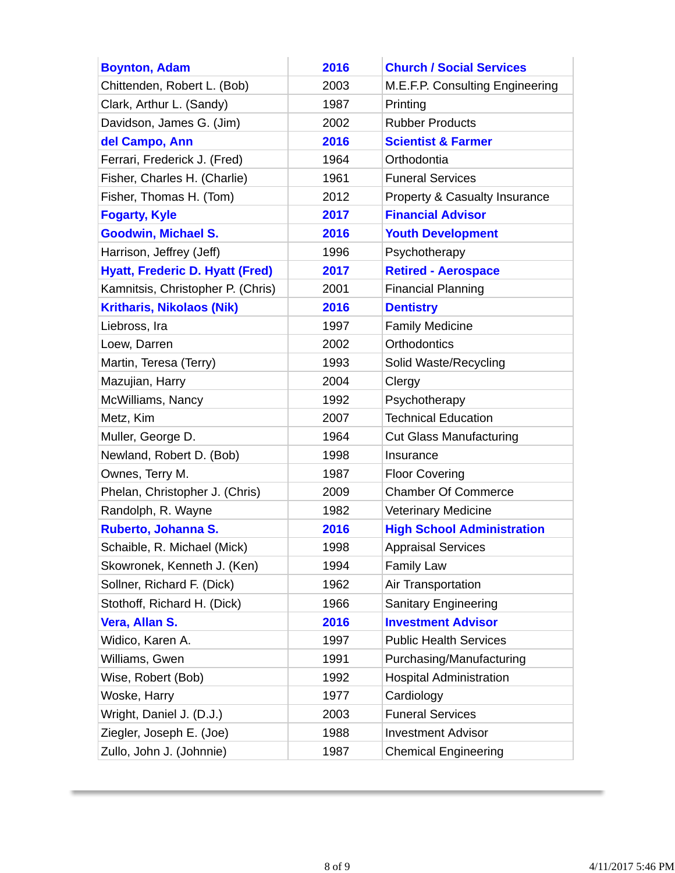| <b>Boynton, Adam</b>                   | 2016 | <b>Church / Social Services</b>   |
|----------------------------------------|------|-----------------------------------|
| Chittenden, Robert L. (Bob)            | 2003 | M.E.F.P. Consulting Engineering   |
| Clark, Arthur L. (Sandy)               | 1987 | Printing                          |
| Davidson, James G. (Jim)               | 2002 | <b>Rubber Products</b>            |
| del Campo, Ann                         | 2016 | <b>Scientist &amp; Farmer</b>     |
| Ferrari, Frederick J. (Fred)           | 1964 | Orthodontia                       |
| Fisher, Charles H. (Charlie)           | 1961 | <b>Funeral Services</b>           |
| Fisher, Thomas H. (Tom)                | 2012 | Property & Casualty Insurance     |
| <b>Fogarty, Kyle</b>                   | 2017 | <b>Financial Advisor</b>          |
| <b>Goodwin, Michael S.</b>             | 2016 | <b>Youth Development</b>          |
| Harrison, Jeffrey (Jeff)               | 1996 | Psychotherapy                     |
| <b>Hyatt, Frederic D. Hyatt (Fred)</b> | 2017 | <b>Retired - Aerospace</b>        |
| Kamnitsis, Christopher P. (Chris)      | 2001 | <b>Financial Planning</b>         |
| <b>Kritharis, Nikolaos (Nik)</b>       | 2016 | <b>Dentistry</b>                  |
| Liebross, Ira                          | 1997 | <b>Family Medicine</b>            |
| Loew, Darren                           | 2002 | Orthodontics                      |
| Martin, Teresa (Terry)                 | 1993 | Solid Waste/Recycling             |
| Mazujian, Harry                        | 2004 | Clergy                            |
| McWilliams, Nancy                      | 1992 | Psychotherapy                     |
| Metz, Kim                              | 2007 | <b>Technical Education</b>        |
| Muller, George D.                      | 1964 | <b>Cut Glass Manufacturing</b>    |
| Newland, Robert D. (Bob)               | 1998 | Insurance                         |
| Ownes, Terry M.                        | 1987 | <b>Floor Covering</b>             |
| Phelan, Christopher J. (Chris)         | 2009 | <b>Chamber Of Commerce</b>        |
| Randolph, R. Wayne                     | 1982 | <b>Veterinary Medicine</b>        |
| Ruberto, Johanna S.                    | 2016 | <b>High School Administration</b> |
| Schaible, R. Michael (Mick)            | 1998 | <b>Appraisal Services</b>         |
| Skowronek, Kenneth J. (Ken)            | 1994 | <b>Family Law</b>                 |
| Sollner, Richard F. (Dick)             | 1962 | Air Transportation                |
| Stothoff, Richard H. (Dick)            | 1966 | <b>Sanitary Engineering</b>       |
| Vera, Allan S.                         | 2016 | <b>Investment Advisor</b>         |
| Widico, Karen A.                       | 1997 | <b>Public Health Services</b>     |
| Williams, Gwen                         | 1991 | Purchasing/Manufacturing          |
| Wise, Robert (Bob)                     | 1992 | <b>Hospital Administration</b>    |
| Woske, Harry                           | 1977 | Cardiology                        |
| Wright, Daniel J. (D.J.)               | 2003 | <b>Funeral Services</b>           |
| Ziegler, Joseph E. (Joe)               | 1988 | <b>Investment Advisor</b>         |
| Zullo, John J. (Johnnie)               | 1987 | <b>Chemical Engineering</b>       |